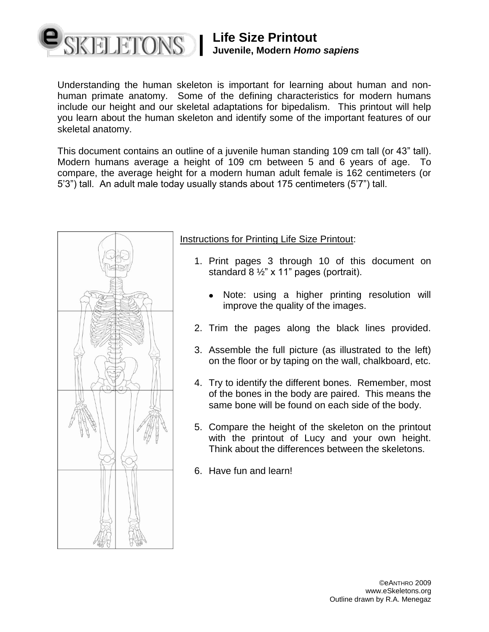

## **| Life Size Printout Juvenile, Modern** *Homo sapiens*

Understanding the human skeleton is important for learning about human and nonhuman primate anatomy. Some of the defining characteristics for modern humans include our height and our skeletal adaptations for bipedalism. This printout will help you learn about the human skeleton and identify some of the important features of our skeletal anatomy.

This document contains an outline of a juvenile human standing 109 cm tall (or 43" tall). Modern humans average a height of 109 cm between 5 and 6 years of age. To compare, the average height for a modern human adult female is 162 centimeters (or 5'3") tall. An adult male today usually stands about 175 centimeters (5'7") tall.



## Instructions for Printing Life Size Printout:

- 1. Print pages 3 through 10 of this document on standard 8 ½" x 11" pages (portrait).
	- Note: using a higher printing resolution will improve the quality of the images.
- 2. Trim the pages along the black lines provided.
- 3. Assemble the full picture (as illustrated to the left) on the floor or by taping on the wall, chalkboard, etc.
- 4. Try to identify the different bones. Remember, most of the bones in the body are paired. This means the same bone will be found on each side of the body.
- 5. Compare the height of the skeleton on the printout with the printout of Lucy and your own height. Think about the differences between the skeletons.
- 6. Have fun and learn!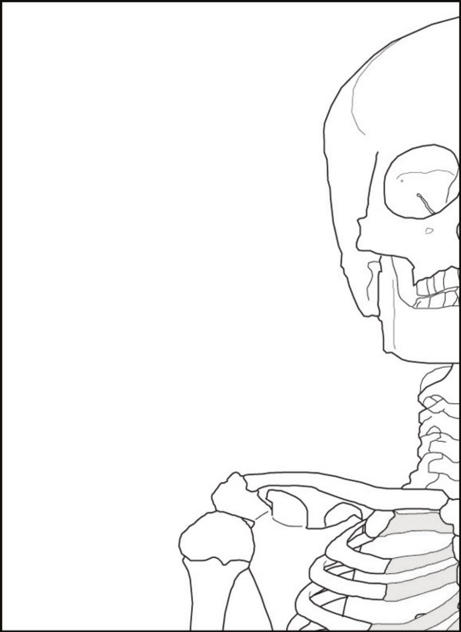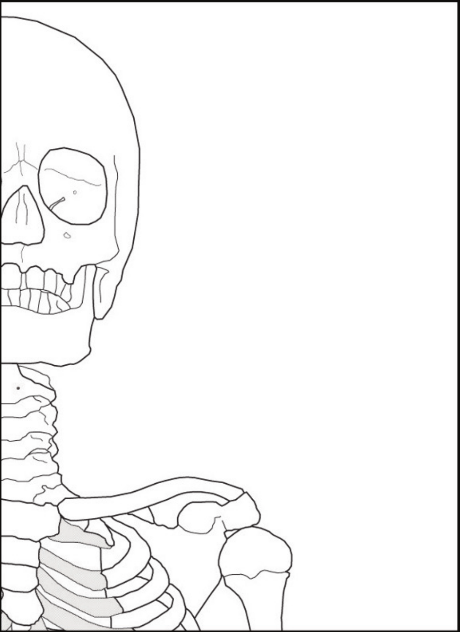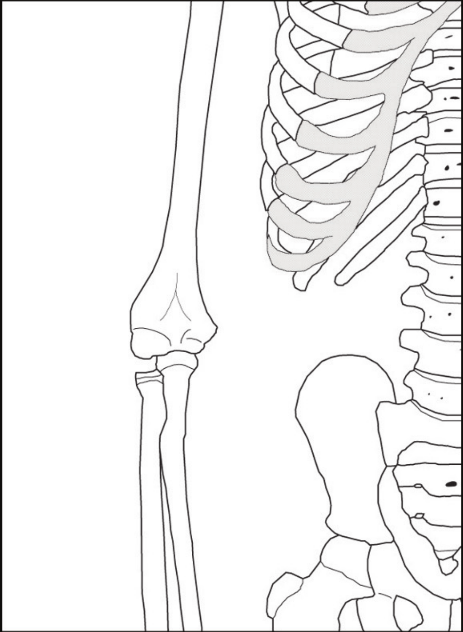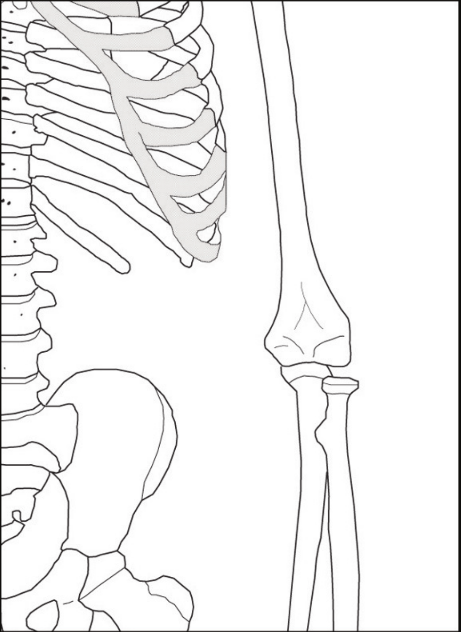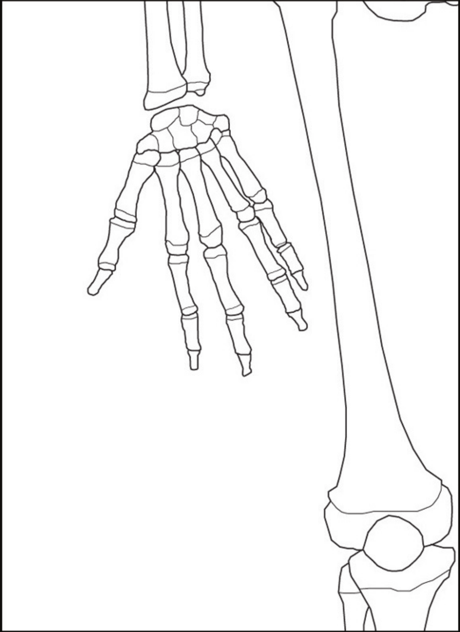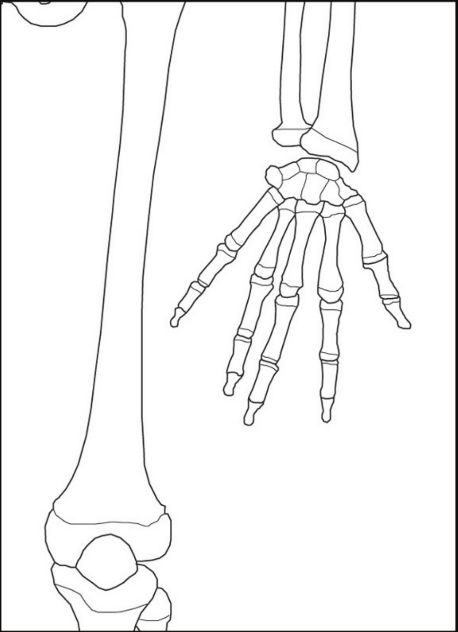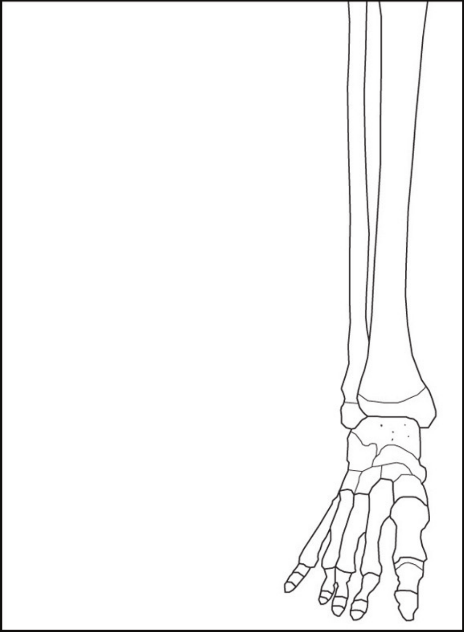